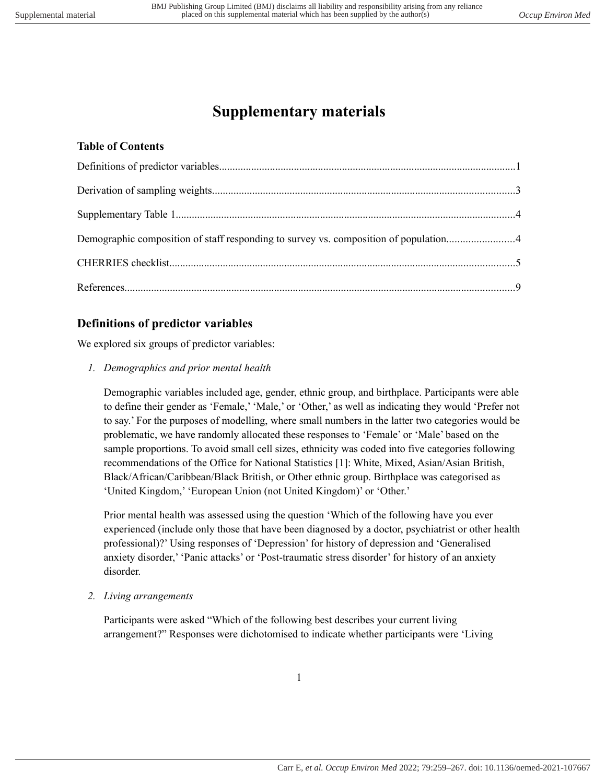# **Supplementary materials**

#### **Table of Contents**

| Demographic composition of staff responding to survey vs. composition of population4 |  |
|--------------------------------------------------------------------------------------|--|
|                                                                                      |  |
|                                                                                      |  |

### <span id="page-0-0"></span>**Definitions of predictor variables**

We explored six groups of predictor variables:

*1. Demographics and prior mental health*

Demographic variables included age, gender, ethnic group, and birthplace. Participants were able to define their gender as 'Female,' 'Male,' or 'Other,' as well as indicating they would 'Prefer not to say.' For the purposes of modelling, where small numbers in the latter two categories would be problematic, we have randomly allocated these responses to 'Female' or 'Male' based on the sample proportions. To avoid small cell sizes, ethnicity was coded into five categories following recommendations of the Office for National Statistics [1]: White, Mixed, Asian/Asian British, Black/African/Caribbean/Black British, or Other ethnic group. Birthplace was categorised as 'United Kingdom,' 'European Union (not United Kingdom)' or 'Other.'

Prior mental health was assessed using the question 'Which of the following have you ever experienced (include only those that have been diagnosed by a doctor, psychiatrist or other health professional)?' Using responses of 'Depression' for history of depression and 'Generalised anxiety disorder,' 'Panic attacks' or 'Post-traumatic stress disorder' for history of an anxiety disorder.

*2. Living arrangements*

Participants were asked "Which of the following best describes your current living arrangement?" Responses were dichotomised to indicate whether participants were 'Living

1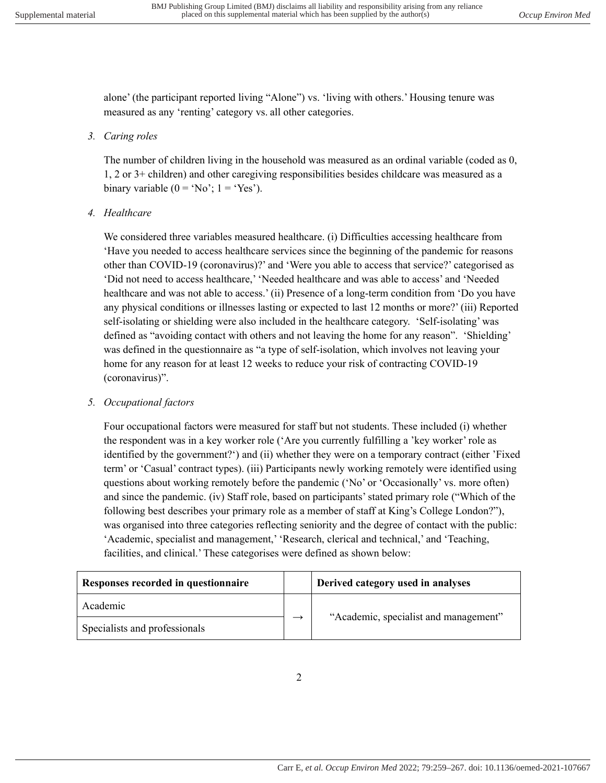alone' (the participant reported living "Alone") vs. 'living with others.' Housing tenure was measured as any 'renting' category vs. all other categories.

#### *3. Caring roles*

The number of children living in the household was measured as an ordinal variable (coded as 0, 1, 2 or 3+ children) and other caregiving responsibilities besides childcare was measured as a binary variable  $(0 = 'No'; 1 = 'Yes').$ 

#### *4. Healthcare*

We considered three variables measured healthcare. (i) Difficulties accessing healthcare from 'Have you needed to access healthcare services since the beginning of the pandemic for reasons other than COVID-19 (coronavirus)?' and 'Were you able to access that service?' categorised as 'Did not need to access healthcare,' 'Needed healthcare and was able to access' and 'Needed healthcare and was not able to access.' (ii) Presence of a long-term condition from 'Do you have any physical conditions or illnesses lasting or expected to last 12 months or more?' (iii) Reported self-isolating or shielding were also included in the healthcare category. 'Self-isolating' was defined as "avoiding contact with others and not leaving the home for any reason". 'Shielding' was defined in the questionnaire as "a type of self-isolation, which involves not leaving your home for any reason for at least 12 weeks to reduce your risk of contracting COVID-19 (coronavirus)".

#### *5. Occupational factors*

Four occupational factors were measured for staff but not students. These included (i) whether the respondent was in a key worker role ('Are you currently fulfilling a 'key worker' role as identified by the government?') and (ii) whether they were on a temporary contract (either 'Fixed term' or 'Casual' contract types). (iii) Participants newly working remotely were identified using questions about working remotely before the pandemic ('No' or 'Occasionally' vs. more often) and since the pandemic. (iv) Staff role, based on participants' stated primary role ("Which of the following best describes your primary role as a member of staff at King's College London?"), was organised into three categories reflecting seniority and the degree of contact with the public: 'Academic, specialist and management,' 'Research, clerical and technical,' and 'Teaching, facilities, and clinical.' These categorises were defined as shown below:

| Responses recorded in questionnaire | Derived category used in analyses     |
|-------------------------------------|---------------------------------------|
| Academic                            |                                       |
| Specialists and professionals       | "Academic, specialist and management" |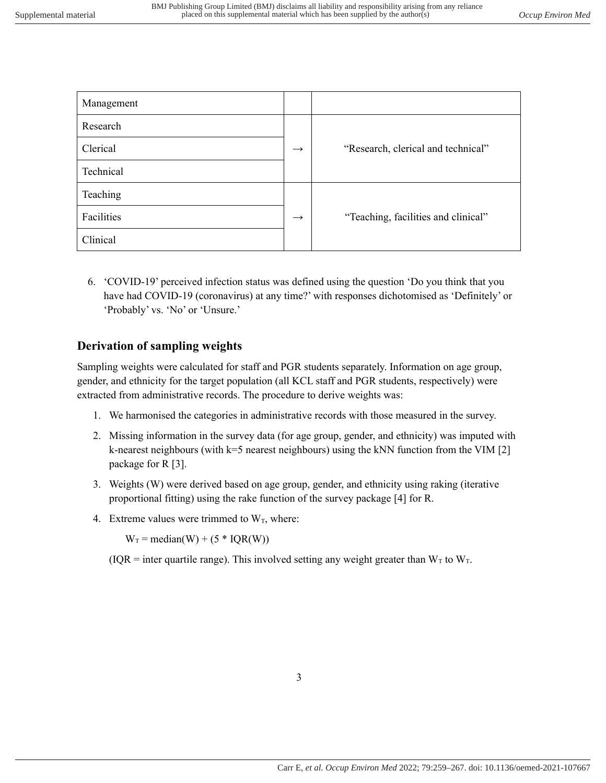| Management |                   |                                     |
|------------|-------------------|-------------------------------------|
| Research   |                   |                                     |
| Clerical   | $\longrightarrow$ | "Research, clerical and technical"  |
| Technical  |                   |                                     |
| Teaching   |                   |                                     |
| Facilities | $\rightarrow$     | "Teaching, facilities and clinical" |
| Clinical   |                   |                                     |

6. 'COVID-19' perceived infection status was defined using the question 'Do you think that you have had COVID-19 (coronavirus) at any time?' with responses dichotomised as 'Definitely' or 'Probably' vs. 'No' or 'Unsure.'

#### <span id="page-2-0"></span>**Derivation of sampling weights**

Sampling weights were calculated for staff and PGR students separately. Information on age group, gender, and ethnicity for the target population (all KCL staff and PGR students, respectively) were extracted from administrative records. The procedure to derive weights was:

- 1. We harmonised the categories in administrative records with those measured in the survey.
- 2. Missing information in the survey data (for age group, gender, and ethnicity) was imputed with k-nearest neighbours (with k=5 nearest neighbours) using the kNN function from the VIM [2] package for R [3].
- 3. Weights (W) were derived based on age group, gender, and ethnicity using raking (iterative proportional fitting) using the rake function of the survey package [4] for R.
- 4. Extreme values were trimmed to  $W_T$ , where:

 $W_T$  = median(W) + (5  $*$  IQR(W))

(IQR = inter quartile range). This involved setting any weight greater than  $W_T$  to  $W_T$ .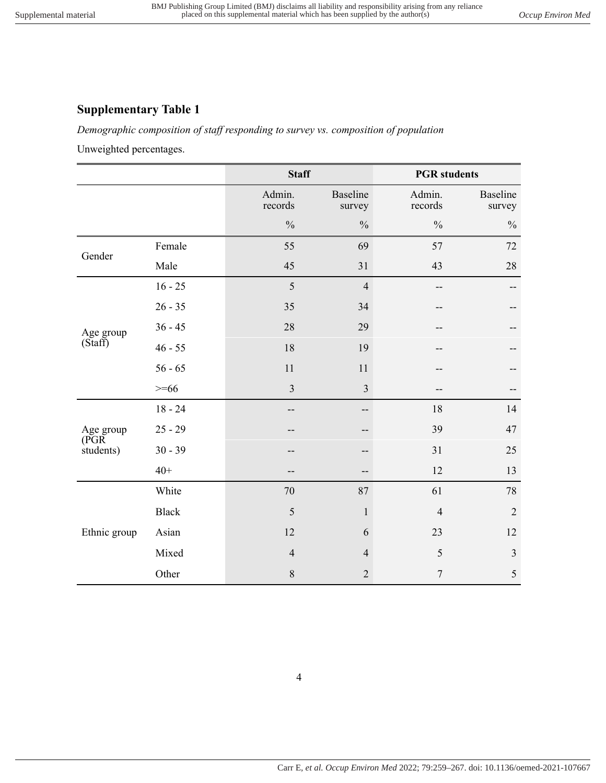## <span id="page-3-1"></span><span id="page-3-0"></span>**Supplementary Table 1**

*Demographic composition of staff responding to survey vs. composition of population*

Unweighted percentages.

|                      |              | <b>Staff</b>      |                    | <b>PGR</b> students |                           |
|----------------------|--------------|-------------------|--------------------|---------------------|---------------------------|
|                      |              | Admin.<br>records | Baseline<br>survey | Admin.<br>records   | <b>Baseline</b><br>survey |
|                      |              | $\frac{0}{0}$     | $\frac{0}{0}$      | $\frac{0}{0}$       | $\frac{0}{0}$             |
|                      | Female       | 55                | 69                 | 57                  | 72                        |
| Gender               | Male         | 45                | 31                 | 43                  | 28                        |
|                      | $16 - 25$    | 5                 | $\overline{4}$     | --                  | --                        |
|                      | $26 - 35$    | 35                | 34                 |                     |                           |
| Age group            | $36 - 45$    | 28                | 29                 |                     |                           |
| (S <sup>t</sup> aff) | $46 - 55$    | 18                | 19                 |                     |                           |
|                      | $56 - 65$    | 11                | 11                 |                     |                           |
|                      | $>= 66$      | $\overline{3}$    | $\mathfrak{Z}$     |                     |                           |
|                      | $18 - 24$    |                   |                    | 18                  | 14                        |
| Age group            | $25 - 29$    |                   |                    | 39                  | 47                        |
| (PGR)<br>students)   | $30 - 39$    |                   |                    | 31                  | 25                        |
|                      | $40+$        |                   |                    | 12                  | 13                        |
| Ethnic group         | White        | 70                | 87                 | 61                  | $78\,$                    |
|                      | <b>Black</b> | 5                 | $\mathbf 1$        | $\overline{4}$      | $\sqrt{2}$                |
|                      | Asian        | 12                | 6                  | 23                  | 12                        |
|                      | Mixed        | $\overline{4}$    | $\overline{4}$     | 5                   | $\mathfrak{Z}$            |
|                      | Other        | $\,$ $\,$         | $\overline{2}$     | $\boldsymbol{7}$    | $\sqrt{5}$                |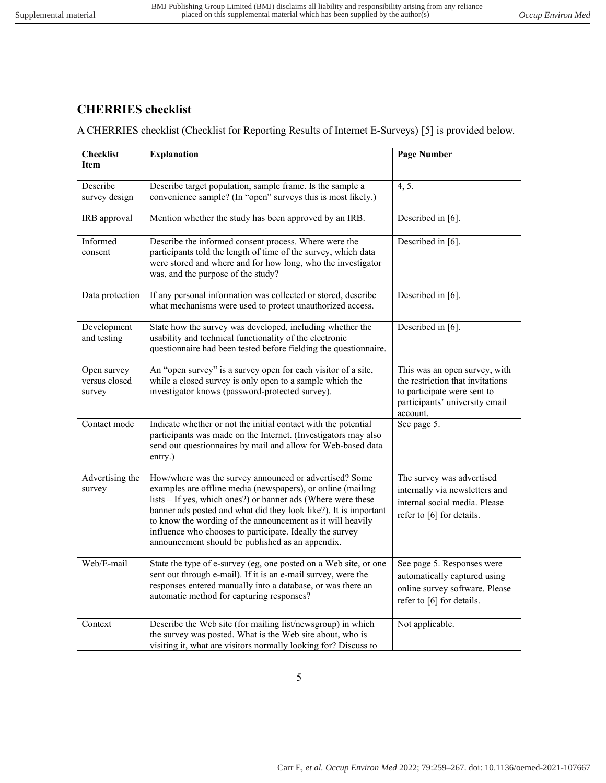## <span id="page-4-0"></span>**CHERRIES checklist**

A CHERRIES checklist (Checklist for Reporting Results of Internet E-Surveys) [5] is provided below.

| <b>Checklist</b><br><b>Item</b>        | <b>Explanation</b>                                                                                                                                                                                                                                                                                                                                                                                                                      | <b>Page Number</b>                                                                                                                             |
|----------------------------------------|-----------------------------------------------------------------------------------------------------------------------------------------------------------------------------------------------------------------------------------------------------------------------------------------------------------------------------------------------------------------------------------------------------------------------------------------|------------------------------------------------------------------------------------------------------------------------------------------------|
| Describe<br>survey design              | Describe target population, sample frame. Is the sample a<br>convenience sample? (In "open" surveys this is most likely.)                                                                                                                                                                                                                                                                                                               | 4, 5.                                                                                                                                          |
| IRB approval                           | Mention whether the study has been approved by an IRB.                                                                                                                                                                                                                                                                                                                                                                                  | Described in [6].                                                                                                                              |
| Informed<br>consent                    | Describe the informed consent process. Where were the<br>participants told the length of time of the survey, which data<br>were stored and where and for how long, who the investigator<br>was, and the purpose of the study?                                                                                                                                                                                                           | Described in [6].                                                                                                                              |
| Data protection                        | If any personal information was collected or stored, describe<br>what mechanisms were used to protect unauthorized access.                                                                                                                                                                                                                                                                                                              | Described in [6].                                                                                                                              |
| Development<br>and testing             | State how the survey was developed, including whether the<br>usability and technical functionality of the electronic<br>questionnaire had been tested before fielding the questionnaire.                                                                                                                                                                                                                                                | Described in [6].                                                                                                                              |
| Open survey<br>versus closed<br>survey | An "open survey" is a survey open for each visitor of a site,<br>while a closed survey is only open to a sample which the<br>investigator knows (password-protected survey).                                                                                                                                                                                                                                                            | This was an open survey, with<br>the restriction that invitations<br>to participate were sent to<br>participants' university email<br>account. |
| Contact mode                           | Indicate whether or not the initial contact with the potential<br>participants was made on the Internet. (Investigators may also<br>send out questionnaires by mail and allow for Web-based data<br>entry.)                                                                                                                                                                                                                             | See page 5.                                                                                                                                    |
| Advertising the<br>survey              | How/where was the survey announced or advertised? Some<br>examples are offline media (newspapers), or online (mailing<br>lists – If yes, which ones?) or banner ads (Where were these<br>banner ads posted and what did they look like?). It is important<br>to know the wording of the announcement as it will heavily<br>influence who chooses to participate. Ideally the survey<br>announcement should be published as an appendix. | The survey was advertised<br>internally via newsletters and<br>internal social media. Please<br>refer to [6] for details.                      |
| Web/E-mail                             | State the type of e-survey (eg, one posted on a Web site, or one<br>sent out through e-mail). If it is an e-mail survey, were the<br>responses entered manually into a database, or was there an<br>automatic method for capturing responses?                                                                                                                                                                                           | See page 5. Responses were<br>automatically captured using<br>online survey software. Please<br>refer to [6] for details.                      |
| Context                                | Describe the Web site (for mailing list/newsgroup) in which<br>the survey was posted. What is the Web site about, who is<br>visiting it, what are visitors normally looking for? Discuss to                                                                                                                                                                                                                                             | Not applicable.                                                                                                                                |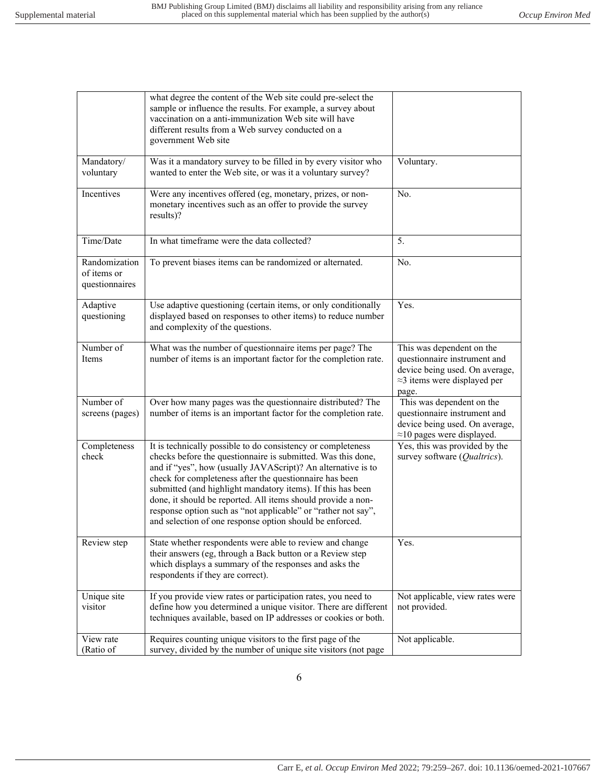|                                                | what degree the content of the Web site could pre-select the<br>sample or influence the results. For example, a survey about<br>vaccination on a anti-immunization Web site will have<br>different results from a Web survey conducted on a<br>government Web site                                                                                                                                                                                                                                                  |                                                                                                                                              |
|------------------------------------------------|---------------------------------------------------------------------------------------------------------------------------------------------------------------------------------------------------------------------------------------------------------------------------------------------------------------------------------------------------------------------------------------------------------------------------------------------------------------------------------------------------------------------|----------------------------------------------------------------------------------------------------------------------------------------------|
| Mandatory/<br>voluntary                        | Was it a mandatory survey to be filled in by every visitor who<br>wanted to enter the Web site, or was it a voluntary survey?                                                                                                                                                                                                                                                                                                                                                                                       | Voluntary.                                                                                                                                   |
| Incentives                                     | Were any incentives offered (eg, monetary, prizes, or non-<br>monetary incentives such as an offer to provide the survey<br>results)?                                                                                                                                                                                                                                                                                                                                                                               | No.                                                                                                                                          |
| Time/Date                                      | In what timeframe were the data collected?                                                                                                                                                                                                                                                                                                                                                                                                                                                                          | 5.                                                                                                                                           |
| Randomization<br>of items or<br>questionnaires | To prevent biases items can be randomized or alternated.                                                                                                                                                                                                                                                                                                                                                                                                                                                            | No.                                                                                                                                          |
| Adaptive<br>questioning                        | Use adaptive questioning (certain items, or only conditionally<br>displayed based on responses to other items) to reduce number<br>and complexity of the questions.                                                                                                                                                                                                                                                                                                                                                 | Yes.                                                                                                                                         |
| Number of<br>Items                             | What was the number of questionnaire items per page? The<br>number of items is an important factor for the completion rate.                                                                                                                                                                                                                                                                                                                                                                                         | This was dependent on the<br>questionnaire instrument and<br>device being used. On average,<br>$\approx$ 3 items were displayed per<br>page. |
| Number of<br>screens (pages)                   | Over how many pages was the questionnaire distributed? The<br>number of items is an important factor for the completion rate.                                                                                                                                                                                                                                                                                                                                                                                       | This was dependent on the<br>questionnaire instrument and<br>device being used. On average,<br>$\approx$ 10 pages were displayed.            |
| Completeness<br>check                          | It is technically possible to do consistency or completeness<br>checks before the questionnaire is submitted. Was this done,<br>and if "yes", how (usually JAVAScript)? An alternative is to<br>check for completeness after the questionnaire has been<br>submitted (and highlight mandatory items). If this has been<br>done, it should be reported. All items should provide a non-<br>response option such as "not applicable" or "rather not say",<br>and selection of one response option should be enforced. | Yes, this was provided by the<br>survey software (Qualtrics).                                                                                |
| Review step                                    | State whether respondents were able to review and change<br>their answers (eg, through a Back button or a Review step<br>which displays a summary of the responses and asks the<br>respondents if they are correct).                                                                                                                                                                                                                                                                                                | Yes.                                                                                                                                         |
| Unique site<br>visitor                         | If you provide view rates or participation rates, you need to<br>define how you determined a unique visitor. There are different<br>techniques available, based on IP addresses or cookies or both.                                                                                                                                                                                                                                                                                                                 | Not applicable, view rates were<br>not provided.                                                                                             |
| View rate<br>(Ratio of                         | Requires counting unique visitors to the first page of the<br>survey, divided by the number of unique site visitors (not page                                                                                                                                                                                                                                                                                                                                                                                       | Not applicable.                                                                                                                              |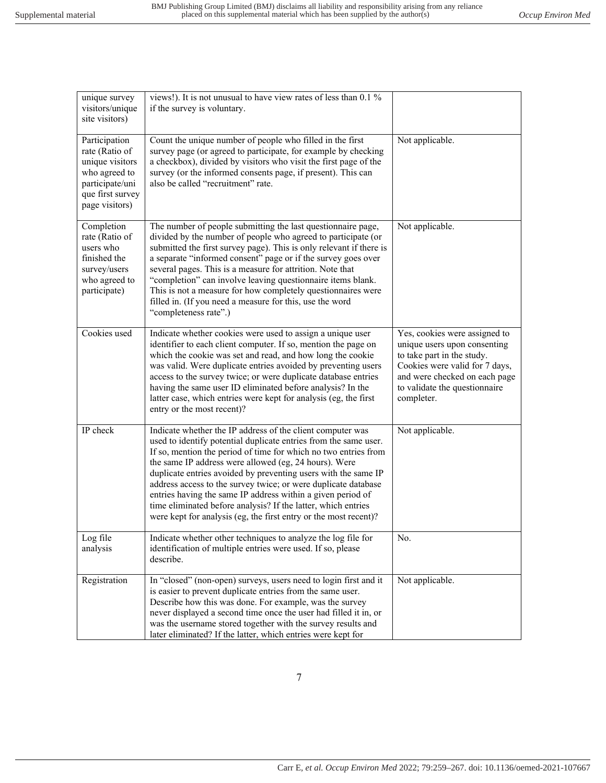| unique survey<br>visitors/unique<br>site visitors)<br>Participation<br>rate (Ratio of                      | views!). It is not unusual to have view rates of less than 0.1 %<br>if the survey is voluntary.<br>Count the unique number of people who filled in the first<br>survey page (or agreed to participate, for example by checking                                                                                                                                                                                                                                                                                                                                                                     | Not applicable.                                                                                                                                                                                               |
|------------------------------------------------------------------------------------------------------------|----------------------------------------------------------------------------------------------------------------------------------------------------------------------------------------------------------------------------------------------------------------------------------------------------------------------------------------------------------------------------------------------------------------------------------------------------------------------------------------------------------------------------------------------------------------------------------------------------|---------------------------------------------------------------------------------------------------------------------------------------------------------------------------------------------------------------|
| unique visitors<br>who agreed to<br>participate/uni<br>que first survey<br>page visitors)                  | a checkbox), divided by visitors who visit the first page of the<br>survey (or the informed consents page, if present). This can<br>also be called "recruitment" rate.                                                                                                                                                                                                                                                                                                                                                                                                                             |                                                                                                                                                                                                               |
| Completion<br>rate (Ratio of<br>users who<br>finished the<br>survey/users<br>who agreed to<br>participate) | The number of people submitting the last questionnaire page,<br>divided by the number of people who agreed to participate (or<br>submitted the first survey page). This is only relevant if there is<br>a separate "informed consent" page or if the survey goes over<br>several pages. This is a measure for attrition. Note that<br>"completion" can involve leaving questionnaire items blank.<br>This is not a measure for how completely questionnaires were<br>filled in. (If you need a measure for this, use the word<br>"completeness rate".)                                             | Not applicable.                                                                                                                                                                                               |
| Cookies used                                                                                               | Indicate whether cookies were used to assign a unique user<br>identifier to each client computer. If so, mention the page on<br>which the cookie was set and read, and how long the cookie<br>was valid. Were duplicate entries avoided by preventing users<br>access to the survey twice; or were duplicate database entries<br>having the same user ID eliminated before analysis? In the<br>latter case, which entries were kept for analysis (eg, the first<br>entry or the most recent)?                                                                                                      | Yes, cookies were assigned to<br>unique users upon consenting<br>to take part in the study.<br>Cookies were valid for 7 days,<br>and were checked on each page<br>to validate the questionnaire<br>completer. |
| IP check                                                                                                   | Indicate whether the IP address of the client computer was<br>used to identify potential duplicate entries from the same user.<br>If so, mention the period of time for which no two entries from<br>the same IP address were allowed (eg, 24 hours). Were<br>duplicate entries avoided by preventing users with the same IP<br>address access to the survey twice; or were duplicate database<br>entries having the same IP address within a given period of<br>time eliminated before analysis? If the latter, which entries<br>were kept for analysis (eg, the first entry or the most recent)? | Not applicable.                                                                                                                                                                                               |
| Log file<br>analysis                                                                                       | Indicate whether other techniques to analyze the log file for<br>identification of multiple entries were used. If so, please<br>describe.                                                                                                                                                                                                                                                                                                                                                                                                                                                          | No.                                                                                                                                                                                                           |
| Registration                                                                                               | In "closed" (non-open) surveys, users need to login first and it<br>is easier to prevent duplicate entries from the same user.<br>Describe how this was done. For example, was the survey<br>never displayed a second time once the user had filled it in, or<br>was the username stored together with the survey results and<br>later eliminated? If the latter, which entries were kept for                                                                                                                                                                                                      | Not applicable.                                                                                                                                                                                               |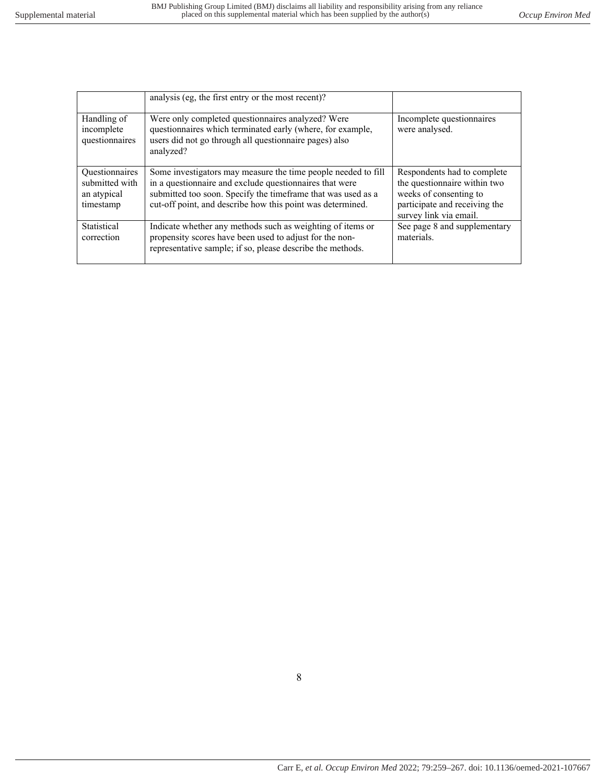|                                                                     | analysis (eg, the first entry or the most recent)?                                                                                                                                                                                                     |                                                                                                                                                  |
|---------------------------------------------------------------------|--------------------------------------------------------------------------------------------------------------------------------------------------------------------------------------------------------------------------------------------------------|--------------------------------------------------------------------------------------------------------------------------------------------------|
| Handling of<br>incomplete<br>questionnaires                         | Were only completed questionnaires analyzed? Were<br>questionnaires which terminated early (where, for example,<br>users did not go through all questionnaire pages) also<br>analyzed?                                                                 | Incomplete questionnaires<br>were analysed.                                                                                                      |
| <b>Questionnaires</b><br>submitted with<br>an atypical<br>timestamp | Some investigators may measure the time people needed to fill<br>in a questionnaire and exclude questionnaires that were<br>submitted too soon. Specify the timeframe that was used as a<br>cut-off point, and describe how this point was determined. | Respondents had to complete<br>the questionnaire within two<br>weeks of consenting to<br>participate and receiving the<br>survey link via email. |
| Statistical<br>correction                                           | Indicate whether any methods such as weighting of items or<br>propensity scores have been used to adjust for the non-<br>representative sample; if so, please describe the methods.                                                                    | See page 8 and supplementary<br>materials.                                                                                                       |